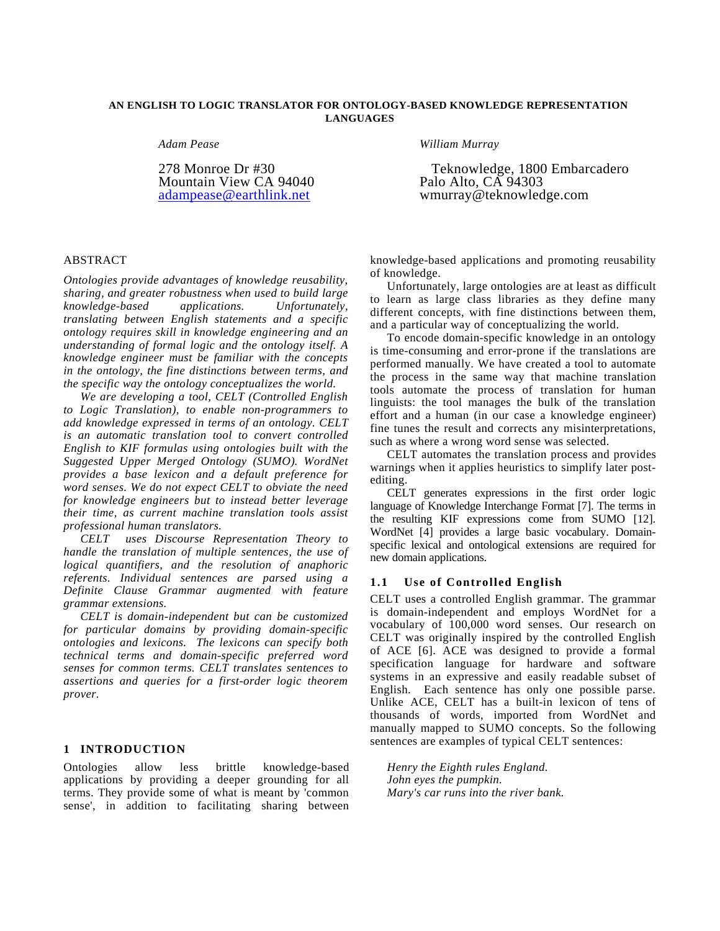#### **AN ENGLISH TO LOGIC TRANSLATOR FOR ONTOLOGY-BASED KNOWLEDGE REPRESENTATION LANGUAGES**

Mountain View CA 94040

#### ABSTRACT

*Ontologies provide advantages of knowledge reusability, sharing, and greater robustness when used to build large knowledge-based applications. Unfortunately, translating between English statements and a specific ontology requires skill in knowledge engineering and an understanding of formal logic and the ontology itself. A knowledge engineer must be familiar with the concepts in the ontology, the fine distinctions between terms, and the specific way the ontology conceptualizes the world.* 

*We are developing a tool, CELT (Controlled English to Logic Translation), to enable non-programmers to add knowledge expressed in terms of an ontology. CELT is an automatic translation tool to convert controlled English to KIF formulas using ontologies built with the Suggested Upper Merged Ontology (SUMO). WordNet provides a base lexicon and a default preference for word senses. We do not expect CELT to obviate the need for knowledge engineers but to instead better leverage their time, as current machine translation tools assist professional human translators.*

*CELT uses Discourse Representation Theory to handle the translation of multiple sentences, the use of logical quantifiers, and the resolution of anaphoric referents. Individual sentences are parsed using a Definite Clause Grammar augmented with feature grammar extensions.* 

*CELT is domain-independent but can be customized for particular domains by providing domain-specific ontologies and lexicons. The lexicons can specify both technical terms and domain-specific preferred word senses for common terms. CELT translates sentences to assertions and queries for a first-order logic theorem prover.*

### **1 INTRODUCTION**

Ontologies allow less brittle knowledge-based applications by providing a deeper grounding for all terms. They provide some of what is meant by 'common sense', in addition to facilitating sharing between

*Adam Pease William Murray*

278 Monroe Dr #30 **Teknowledge, 1800 Embarcadero**<br>Mountain View CA 94040 **Palo Alto, CA 94303** adampease@earthlink.net wmurray@teknowledge.com

> knowledge-based applications and promoting reusability of knowledge.

> Unfortunately, large ontologies are at least as difficult to learn as large class libraries as they define many different concepts, with fine distinctions between them, and a particular way of conceptualizing the world.

> To encode domain-specific knowledge in an ontology is time-consuming and error-prone if the translations are performed manually. We have created a tool to automate the process in the same way that machine translation tools automate the process of translation for human linguists: the tool manages the bulk of the translation effort and a human (in our case a knowledge engineer) fine tunes the result and corrects any misinterpretations, such as where a wrong word sense was selected.

> CELT automates the translation process and provides warnings when it applies heuristics to simplify later postediting.

> CELT generates expressions in the first order logic language of Knowledge Interchange Format [7]. The terms in the resulting KIF expressions come from SUMO [12]. WordNet [4] provides a large basic vocabulary. Domainspecific lexical and ontological extensions are required for new domain applications.

#### **1.1 Use of Controlled English**

CELT uses a controlled English grammar. The grammar is domain-independent and employs WordNet for a vocabulary of 100,000 word senses. Our research on CELT was originally inspired by the controlled English of ACE [6]. ACE was designed to provide a formal specification language for hardware and software systems in an expressive and easily readable subset of English. Each sentence has only one possible parse. Unlike ACE, CELT has a built-in lexicon of tens of thousands of words, imported from WordNet and manually mapped to SUMO concepts. So the following sentences are examples of typical CELT sentences:

*Henry the Eighth rules England. John eyes the pumpkin. Mary's car runs into the river bank.*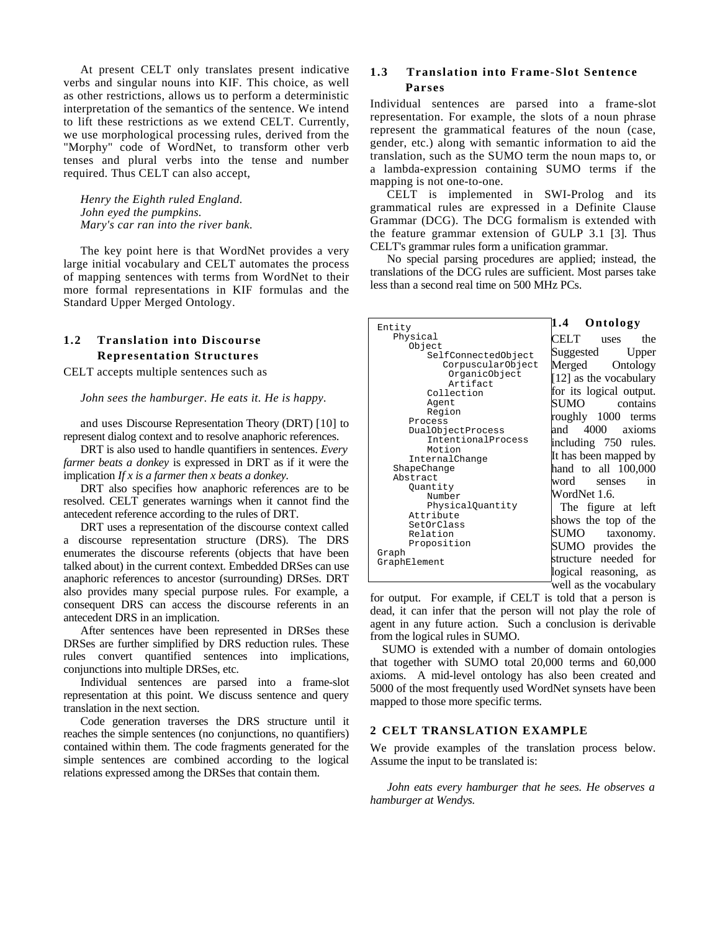At present CELT only translates present indicative verbs and singular nouns into KIF. This choice, as well as other restrictions, allows us to perform a deterministic interpretation of the semantics of the sentence. We intend to lift these restrictions as we extend CELT. Currently, we use morphological processing rules, derived from the "Morphy" code of WordNet, to transform other verb tenses and plural verbs into the tense and number required. Thus CELT can also accept,

*Henry the Eighth ruled England. John eyed the pumpkins. Mary's car ran into the river bank.*

The key point here is that WordNet provides a very large initial vocabulary and CELT automates the process of mapping sentences with terms from WordNet to their more formal representations in KIF formulas and the Standard Upper Merged Ontology.

# **1.2 Translation into Discourse Representation Structures**

CELT accepts multiple sentences such as

*John sees the hamburger. He eats it. He is happy.*

and uses Discourse Representation Theory (DRT) [10] to represent dialog context and to resolve anaphoric references.

DRT is also used to handle quantifiers in sentences. *Every farmer beats a donkey* is expressed in DRT as if it were the implication *If x is a farmer then x beats a donkey.*

DRT also specifies how anaphoric references are to be resolved. CELT generates warnings when it cannot find the antecedent reference according to the rules of DRT.

DRT uses a representation of the discourse context called a discourse representation structure (DRS). The DRS enumerates the discourse referents (objects that have been talked about) in the current context. Embedded DRSes can use anaphoric references to ancestor (surrounding) DRSes. DRT also provides many special purpose rules. For example, a consequent DRS can access the discourse referents in an antecedent DRS in an implication.

After sentences have been represented in DRSes these DRSes are further simplified by DRS reduction rules. These rules convert quantified sentences into implications, conjunctions into multiple DRSes, etc.

Individual sentences are parsed into a frame-slot representation at this point. We discuss sentence and query translation in the next section.

Code generation traverses the DRS structure until it reaches the simple sentences (no conjunctions, no quantifiers) contained within them. The code fragments generated for the simple sentences are combined according to the logical relations expressed among the DRSes that contain them.

## **1.3 Translation into Frame-Slot Sentence Parses**

Individual sentences are parsed into a frame-slot representation. For example, the slots of a noun phrase represent the grammatical features of the noun (case, gender, etc.) along with semantic information to aid the translation, such as the SUMO term the noun maps to, or a lambda-expression containing SUMO terms if the mapping is not one-to-one.

CELT is implemented in SWI-Prolog and its grammatical rules are expressed in a Definite Clause Grammar (DCG). The DCG formalism is extended with the feature grammar extension of GULP 3.1 [3]. Thus CELT's grammar rules form a unification grammar.

No special parsing procedures are applied; instead, the translations of the DCG rules are sufficient. Most parses take less than a second real time on 500 MHz PCs.

| Entity                                                                                                                                                                                                                                                                                                                                                             | Ontology<br>1.4                                                                                                                                                                                                                                                                                                                                                                                                                                    |
|--------------------------------------------------------------------------------------------------------------------------------------------------------------------------------------------------------------------------------------------------------------------------------------------------------------------------------------------------------------------|----------------------------------------------------------------------------------------------------------------------------------------------------------------------------------------------------------------------------------------------------------------------------------------------------------------------------------------------------------------------------------------------------------------------------------------------------|
| Physical<br>Object<br>SelfConnectedObject<br>CorpuscularObject<br>OrganicObject<br>Artifact<br>Collection<br>Agent<br>Region<br>Process<br>DualObjectProcess<br>IntentionalProcess<br>Motion<br>InternalChange<br>ShapeChange<br>Abstract<br>Ouantity<br>Number<br>PhysicalQuantity<br>Attribute<br>SetOrClass<br>Relation<br>Proposition<br>Graph<br>GraphElement | CELT<br>the<br>uses<br>Suggested<br>Upper<br>Ontology<br>Merged<br>[12] as the vocabulary<br>for its logical output.<br>SUMO -<br>contains<br>roughly 1000 terms<br>4000<br>and<br>axioms<br>including 750 rules.<br>It has been mapped by<br>hand to all 100,000<br>word<br>senses<br>in<br>WordNet 1.6.<br>The figure at left<br>shows the top of the<br>SUMO<br>taxonomy.<br>SUMO provides the<br>structure needed for<br>logical reasoning, as |

well as the vocabulary for output. For example, if CELT is told that a person is dead, it can infer that the person will not play the role of agent in any future action. Such a conclusion is derivable from the logical rules in SUMO.

SUMO is extended with a number of domain ontologies that together with SUMO total 20,000 terms and 60,000 axioms. A mid-level ontology has also been created and 5000 of the most frequently used WordNet synsets have been mapped to those more specific terms.

### **2 CELT TRANSLATION EXAMPLE**

We provide examples of the translation process below. Assume the input to be translated is:

*John eats every hamburger that he sees. He observes a hamburger at Wendys.*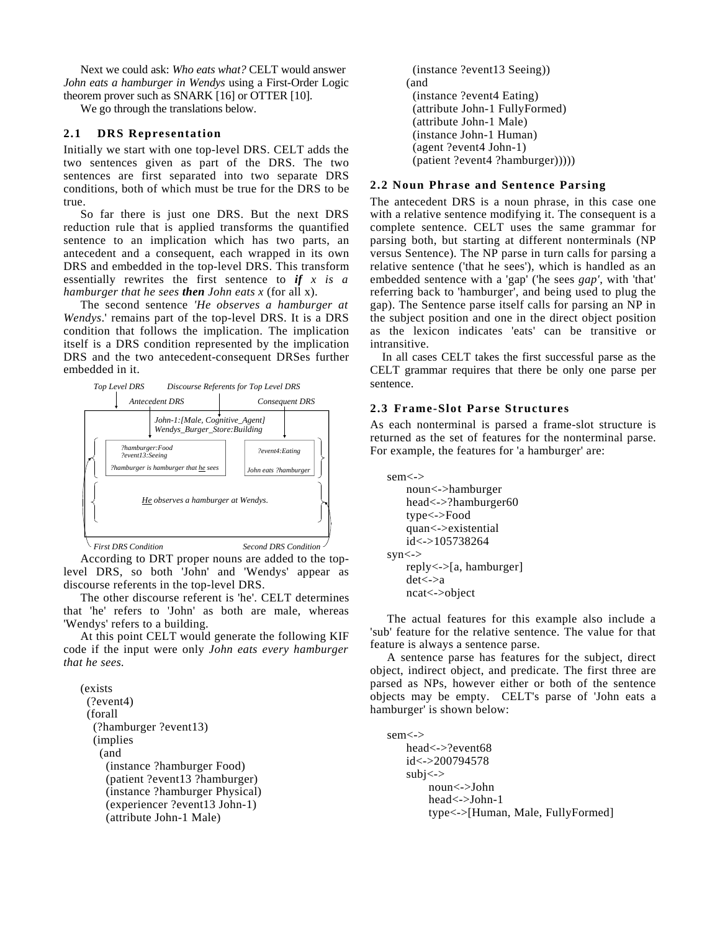Next we could ask: *Who eats what?* CELT would answer *John eats a hamburger in Wendys* using a First-Order Logic theorem prover such as SNARK [16] or OTTER [10].

We go through the translations below.

#### **2.1 DRS Representation**

Initially we start with one top-level DRS. CELT adds the two sentences given as part of the DRS. The two sentences are first separated into two separate DRS conditions, both of which must be true for the DRS to be true.

So far there is just one DRS. But the next DRS reduction rule that is applied transforms the quantified sentence to an implication which has two parts, an antecedent and a consequent, each wrapped in its own DRS and embedded in the top-level DRS. This transform essentially rewrites the first sentence to *if x is a hamburger that he sees then John eats x* (for all x).

The second sentence *'He observes a hamburger at Wendys*.' remains part of the top-level DRS. It is a DRS condition that follows the implication. The implication itself is a DRS condition represented by the implication DRS and the two antecedent-consequent DRSes further embedded in it.





According to DRT proper nouns are added to the toplevel DRS, so both 'John' and 'Wendys' appear as

discourse referents in the top-level DRS. The other discourse referent is 'he'. CELT determines that 'he' refers to 'John' as both are male, whereas 'Wendys' refers to a building.

At this point CELT would generate the following KIF code if the input were only *John eats every hamburger that he sees.*

(exists (?event4) (forall (?hamburger ?event13) (implies (and (instance ?hamburger Food) (patient ?event13 ?hamburger) (instance ?hamburger Physical) (experiencer ?event13 John-1) (attribute John-1 Male)

 (instance ?event13 Seeing)) (and (instance ?event4 Eating) (attribute John-1 FullyFormed) (attribute John-1 Male) (instance John-1 Human) (agent ?event4 John-1) (patient ?event4 ?hamburger)))))

### **2.2 Noun Phrase and Sentence Parsing**

The antecedent DRS is a noun phrase, in this case one with a relative sentence modifying it. The consequent is a complete sentence. CELT uses the same grammar for parsing both, but starting at different nonterminals (NP versus Sentence). The NP parse in turn calls for parsing a relative sentence ('that he sees'), which is handled as an embedded sentence with a 'gap' ('he sees *gap'*, with 'that' referring back to 'hamburger', and being used to plug the gap). The Sentence parse itself calls for parsing an NP in the subject position and one in the direct object position as the lexicon indicates 'eats' can be transitive or intransitive.

In all cases CELT takes the first successful parse as the CELT grammar requires that there be only one parse per sentence.

### **2.3 Frame-Slot Parse Structures**

As each nonterminal is parsed a frame-slot structure is returned as the set of features for the nonterminal parse. For example, the features for 'a hamburger' are:

sem<-> noun<->hamburger head<->?hamburger60 type<->Food quan<->existential id<->105738264  $syn <->$  reply<->[a, hamburger] det<->a ncat<->object

The actual features for this example also include a 'sub' feature for the relative sentence. The value for that feature is always a sentence parse.

A sentence parse has features for the subject, direct object, indirect object, and predicate. The first three are parsed as NPs, however either or both of the sentence objects may be empty. CELT's parse of 'John eats a hamburger' is shown below:

sem<-> head<->?event68 id<->200794578  $subj <->$  noun<->John head<->John-1 type<->[Human, Male, FullyFormed]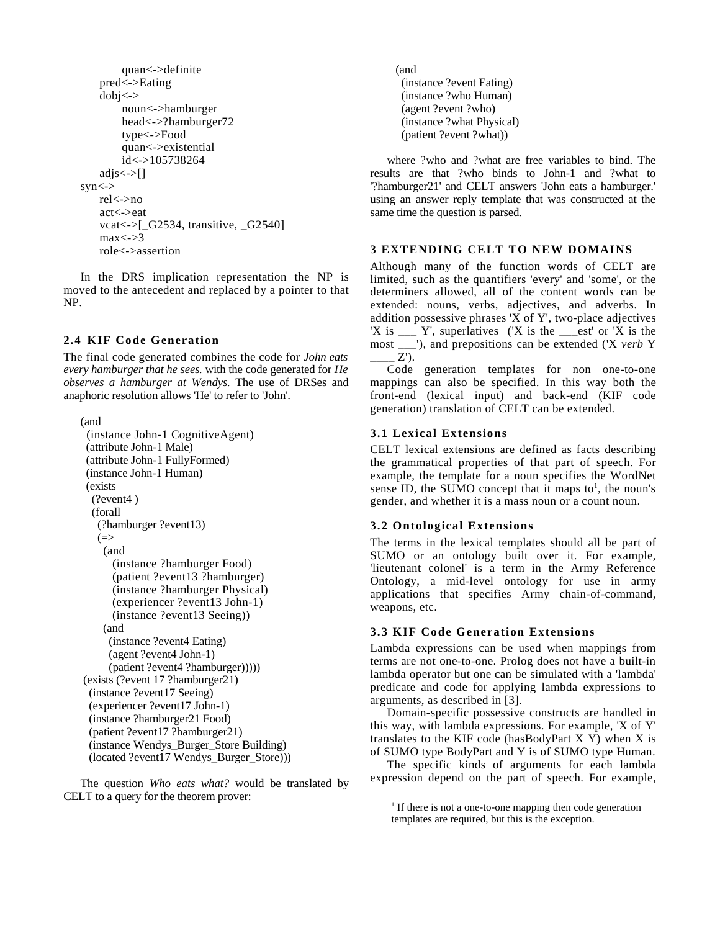```
 quan<->definite
    pred<->Eating
   dobi \leftarrow noun<->hamburger
         head<->?hamburger72
         type<->Food
         quan<->existential
         id<->105738264
   adjs\lt->[]
syn <-> rel<->no
    act<->eat
    vcat<->[_G2534, transitive, _G2540]
   max < -3 role<->assertion
```
In the DRS implication representation the NP is moved to the antecedent and replaced by a pointer to that NP.

## **2.4 KIF Code Generation**

The final code generated combines the code for *John eats every hamburger that he sees.* with the code generated for *He observes a hamburger at Wendys.* The use of DRSes and anaphoric resolution allows 'He' to refer to 'John'.

(and (instance John-1 CognitiveAgent) (attribute John-1 Male) (attribute John-1 FullyFormed) (instance John-1 Human) (exists (?event4 ) (forall (?hamburger ?event13)  $($ => (and (instance ?hamburger Food) (patient ?event13 ?hamburger) (instance ?hamburger Physical) (experiencer ?event13 John-1) (instance ?event13 Seeing)) (and (instance ?event4 Eating) (agent ?event4 John-1) (patient ?event4 ?hamburger))))) (exists (?event 17 ?hamburger21) (instance ?event17 Seeing) (experiencer ?event17 John-1) (instance ?hamburger21 Food) (patient ?event17 ?hamburger21) (instance Wendys\_Burger\_Store Building) (located ?event17 Wendys\_Burger\_Store)))

The question *Who eats what?* would be translated by CELT to a query for the theorem prover:

 (and (instance ?event Eating) (instance ?who Human) (agent ?event ?who) (instance ?what Physical) (patient ?event ?what))

where ?who and ?what are free variables to bind. The results are that ?who binds to John-1 and ?what to '?hamburger21' and CELT answers 'John eats a hamburger.' using an answer reply template that was constructed at the same time the question is parsed.

### **3 EXTENDING CELT TO NEW DOMAINS**

Although many of the function words of CELT are limited, such as the quantifiers 'every' and 'some', or the determiners allowed, all of the content words can be extended: nouns, verbs, adjectives, and adverbs. In addition possessive phrases 'X of Y', two-place adjectives 'X is  $Y'$ , superlatives ('X is the est' or 'X is the most \_\_\_'), and prepositions can be extended ('X *verb* Y  $Z'$ ).

Code generation templates for non one-to-one mappings can also be specified. In this way both the front-end (lexical input) and back-end (KIF code generation) translation of CELT can be extended.

### **3.1 Lexical Extensions**

CELT lexical extensions are defined as facts describing the grammatical properties of that part of speech. For example, the template for a noun specifies the WordNet sense ID, the SUMO concept that it maps  $to<sup>1</sup>$ , the noun's gender, and whether it is a mass noun or a count noun.

### **3.2 Ontological Extensions**

The terms in the lexical templates should all be part of SUMO or an ontology built over it. For example, 'lieutenant colonel' is a term in the Army Reference Ontology, a mid-level ontology for use in army applications that specifies Army chain-of-command, weapons, etc.

### **3.3 KIF Code Generation Extensions**

Lambda expressions can be used when mappings from terms are not one-to-one. Prolog does not have a built-in lambda operator but one can be simulated with a 'lambda' predicate and code for applying lambda expressions to arguments, as described in [3].

Domain-specific possessive constructs are handled in this way, with lambda expressions. For example, 'X of Y' translates to the KIF code (hasBodyPart X Y) when X is of SUMO type BodyPart and Y is of SUMO type Human.

The specific kinds of arguments for each lambda expression depend on the part of speech. For example,

<sup>&</sup>lt;sup>1</sup> If there is not a one-to-one mapping then code generation templates are required, but this is the exception.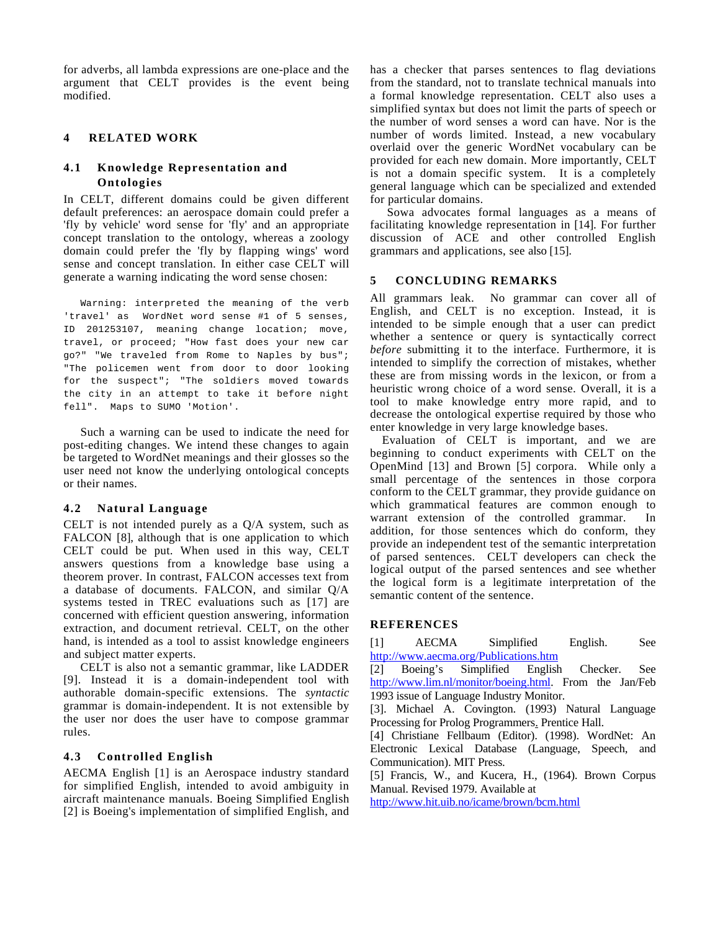for adverbs, all lambda expressions are one-place and the argument that CELT provides is the event being modified.

## **4 RELATED WORK**

# **4.1 Knowledge Representation and Ontologies**

In CELT, different domains could be given different default preferences: an aerospace domain could prefer a 'fly by vehicle' word sense for 'fly' and an appropriate concept translation to the ontology, whereas a zoology domain could prefer the 'fly by flapping wings' word sense and concept translation. In either case CELT will generate a warning indicating the word sense chosen:

Warning: interpreted the meaning of the verb 'travel' as WordNet word sense #1 of 5 senses, ID 201253107, meaning change location; move, travel, or proceed; "How fast does your new car go?" "We traveled from Rome to Naples by bus"; "The policemen went from door to door looking for the suspect"; "The soldiers moved towards the city in an attempt to take it before night fell". Maps to SUMO 'Motion'.

Such a warning can be used to indicate the need for post-editing changes. We intend these changes to again be targeted to WordNet meanings and their glosses so the user need not know the underlying ontological concepts or their names.

### **4.2 Natural Language**

CELT is not intended purely as a Q/A system, such as FALCON [8], although that is one application to which CELT could be put. When used in this way, CELT answers questions from a knowledge base using a theorem prover. In contrast, FALCON accesses text from a database of documents. FALCON, and similar Q/A systems tested in TREC evaluations such as [17] are concerned with efficient question answering, information extraction, and document retrieval. CELT, on the other hand, is intended as a tool to assist knowledge engineers and subject matter experts.

CELT is also not a semantic grammar, like LADDER [9]. Instead it is a domain-independent tool with authorable domain-specific extensions. The *syntactic* grammar is domain-independent. It is not extensible by the user nor does the user have to compose grammar rules.

## **4.3 Controlled English**

AECMA English [1] is an Aerospace industry standard for simplified English, intended to avoid ambiguity in aircraft maintenance manuals. Boeing Simplified English [2] is Boeing's implementation of simplified English, and has a checker that parses sentences to flag deviations from the standard, not to translate technical manuals into a formal knowledge representation. CELT also uses a simplified syntax but does not limit the parts of speech or the number of word senses a word can have. Nor is the number of words limited. Instead, a new vocabulary overlaid over the generic WordNet vocabulary can be provided for each new domain. More importantly, CELT is not a domain specific system. It is a completely general language which can be specialized and extended for particular domains.

Sowa advocates formal languages as a means of facilitating knowledge representation in [14]. For further discussion of ACE and other controlled English grammars and applications, see also [15].

### **5 CONCLUDING REMARKS**

All grammars leak. No grammar can cover all of English, and CELT is no exception. Instead, it is intended to be simple enough that a user can predict whether a sentence or query is syntactically correct *before* submitting it to the interface. Furthermore, it is intended to simplify the correction of mistakes, whether these are from missing words in the lexicon, or from a heuristic wrong choice of a word sense. Overall, it is a tool to make knowledge entry more rapid, and to decrease the ontological expertise required by those who enter knowledge in very large knowledge bases.

Evaluation of CELT is important, and we are beginning to conduct experiments with CELT on the OpenMind [13] and Brown [5] corpora. While only a small percentage of the sentences in those corpora conform to the CELT grammar, they provide guidance on which grammatical features are common enough to warrant extension of the controlled grammar. In addition, for those sentences which do conform, they provide an independent test of the semantic interpretation of parsed sentences. CELT developers can check the logical output of the parsed sentences and see whether the logical form is a legitimate interpretation of the semantic content of the sentence.

### **REFERENCES**

[1] AECMA Simplified English. See http://www.aecma.org/Publications.htm

[2] Boeing's Simplified English Checker. See http://www.lim.nl/monitor/boeing.html. From the Jan/Feb 1993 issue of Language Industry Monitor.

[3]. Michael A. Covington. (1993) Natural Language Processing for Prolog Programmers. Prentice Hall.

[4] Christiane Fellbaum (Editor). (1998). WordNet: An Electronic Lexical Database (Language, Speech, and Communication). MIT Press.

[5] Francis, W., and Kucera, H., (1964). Brown Corpus Manual. Revised 1979. Available at

http://www.hit.uib.no/icame/brown/bcm.html